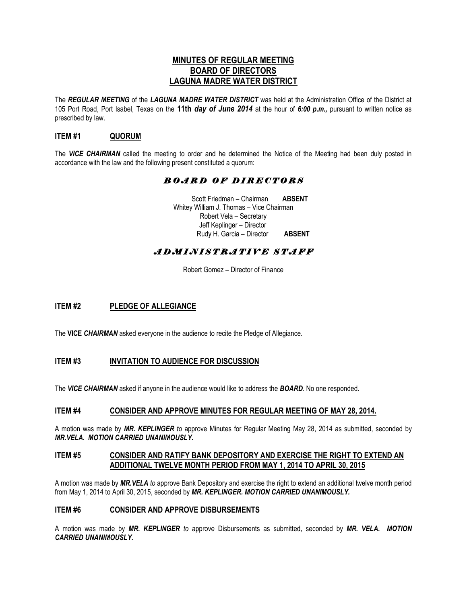### **MINUTES OF REGULAR MEETING BOARD OF DIRECTORS LAGUNA MADRE WATER DISTRICT**

The *REGULAR MEETING* of the *LAGUNA MADRE WATER DISTRICT* was held at the Administration Office of the District at 105 Port Road, Port Isabel, Texas on the **11th** *day of June 2014* at the hour of *6:00 p.m.,* pursuant to written notice as prescribed by law.

### **ITEM #1 QUORUM**

The *VICE CHAIRMAN* called the meeting to order and he determined the Notice of the Meeting had been duly posted in accordance with the law and the following present constituted a quorum:

## *B O A R D O F D I R E C T O R S*

 Scott Friedman – Chairman **ABSENT** Whitey William J. Thomas – Vice Chairman Robert Vela – Secretary Jeff Keplinger – Director Rudy H. Garcia – Director **ABSENT**

## *A D M I N I S T R A T I V E S T A F F*

Robert Gomez – Director of Finance

### **ITEM #2 PLEDGE OF ALLEGIANCE**

The **VICE** *CHAIRMAN* asked everyone in the audience to recite the Pledge of Allegiance.

### **ITEM #3 INVITATION TO AUDIENCE FOR DISCUSSION**

The *VICE CHAIRMAN* asked if anyone in the audience would like to address the *BOARD*. No one responded.

#### **ITEM #4 CONSIDER AND APPROVE MINUTES FOR REGULAR MEETING OF MAY 28, 2014.**

A motion was made by *MR. KEPLINGER to* approve Minutes for Regular Meeting May 28, 2014 as submitted, seconded by *MR.VELA. MOTION CARRIED UNANIMOUSLY.*

#### **ITEM #5 CONSIDER AND RATIFY BANK DEPOSITORY AND EXERCISE THE RIGHT TO EXTEND AN ADDITIONAL TWELVE MONTH PERIOD FROM MAY 1, 2014 TO APRIL 30, 2015**

A motion was made by *MR.VELA to* approve Bank Depository and exercise the right to extend an additional twelve month period from May 1, 2014 to April 30, 2015, seconded by *MR. KEPLINGER. MOTION CARRIED UNANIMOUSLY.*

#### **ITEM #6 CONSIDER AND APPROVE DISBURSEMENTS**

A motion was made by *MR. KEPLINGER to* approve Disbursements as submitted, seconded by *MR. VELA. MOTION CARRIED UNANIMOUSLY.*